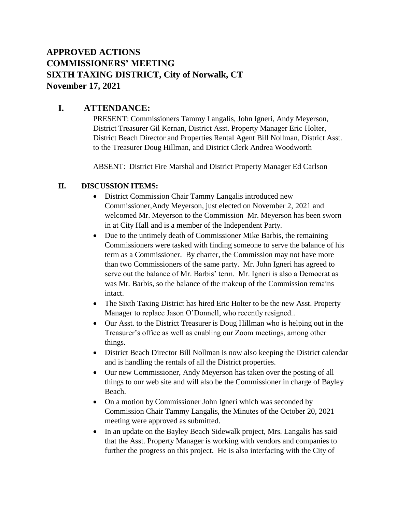# **APPROVED ACTIONS COMMISSIONERS' MEETING SIXTH TAXING DISTRICT, City of Norwalk, CT November 17, 2021**

## **I. ATTENDANCE:**

PRESENT: Commissioners Tammy Langalis, John Igneri, Andy Meyerson, District Treasurer Gil Kernan, District Asst. Property Manager Eric Holter, District Beach Director and Properties Rental Agent Bill Nollman, District Asst. to the Treasurer Doug Hillman, and District Clerk Andrea Woodworth

ABSENT: District Fire Marshal and District Property Manager Ed Carlson

#### **II. DISCUSSION ITEMS:**

- District Commission Chair Tammy Langalis introduced new Commissioner,Andy Meyerson, just elected on November 2, 2021 and welcomed Mr. Meyerson to the Commission Mr. Meyerson has been sworn in at City Hall and is a member of the Independent Party.
- Due to the untimely death of Commissioner Mike Barbis, the remaining Commissioners were tasked with finding someone to serve the balance of his term as a Commissioner. By charter, the Commission may not have more than two Commissioners of the same party. Mr. John Igneri has agreed to serve out the balance of Mr. Barbis' term. Mr. Igneri is also a Democrat as was Mr. Barbis, so the balance of the makeup of the Commission remains intact.
- The Sixth Taxing District has hired Eric Holter to be the new Asst. Property Manager to replace Jason O'Donnell, who recently resigned..
- Our Asst. to the District Treasurer is Doug Hillman who is helping out in the Treasurer's office as well as enabling our Zoom meetings, among other things.
- District Beach Director Bill Nollman is now also keeping the District calendar and is handling the rentals of all the District properties.
- Our new Commissioner, Andy Meyerson has taken over the posting of all things to our web site and will also be the Commissioner in charge of Bayley Beach.
- On a motion by Commissioner John Igneri which was seconded by Commission Chair Tammy Langalis, the Minutes of the October 20, 2021 meeting were approved as submitted.
- In an update on the Bayley Beach Sidewalk project, Mrs. Langalis has said that the Asst. Property Manager is working with vendors and companies to further the progress on this project. He is also interfacing with the City of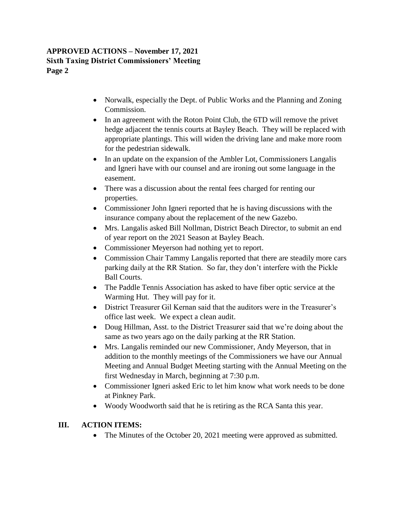#### **APPROVED ACTIONS – November 17, 2021 Sixth Taxing District Commissioners' Meeting Page 2**

- Norwalk, especially the Dept. of Public Works and the Planning and Zoning Commission.
- In an agreement with the Roton Point Club, the 6TD will remove the privet hedge adjacent the tennis courts at Bayley Beach. They will be replaced with appropriate plantings. This will widen the driving lane and make more room for the pedestrian sidewalk.
- In an update on the expansion of the Ambler Lot, Commissioners Langalis and Igneri have with our counsel and are ironing out some language in the easement.
- There was a discussion about the rental fees charged for renting our properties.
- Commissioner John Igneri reported that he is having discussions with the insurance company about the replacement of the new Gazebo.
- Mrs. Langalis asked Bill Nollman, District Beach Director, to submit an end of year report on the 2021 Season at Bayley Beach.
- Commissioner Meyerson had nothing yet to report.
- Commission Chair Tammy Langalis reported that there are steadily more cars parking daily at the RR Station. So far, they don't interfere with the Pickle Ball Courts.
- The Paddle Tennis Association has asked to have fiber optic service at the Warming Hut. They will pay for it.
- District Treasurer Gil Kernan said that the auditors were in the Treasurer's office last week. We expect a clean audit.
- Doug Hillman, Asst. to the District Treasurer said that we're doing about the same as two years ago on the daily parking at the RR Station.
- Mrs. Langalis reminded our new Commissioner, Andy Meyerson, that in addition to the monthly meetings of the Commissioners we have our Annual Meeting and Annual Budget Meeting starting with the Annual Meeting on the first Wednesday in March, beginning at 7:30 p.m.
- Commissioner Igneri asked Eric to let him know what work needs to be done at Pinkney Park.
- Woody Woodworth said that he is retiring as the RCA Santa this year.

### **III. ACTION ITEMS:**

• The Minutes of the October 20, 2021 meeting were approved as submitted.